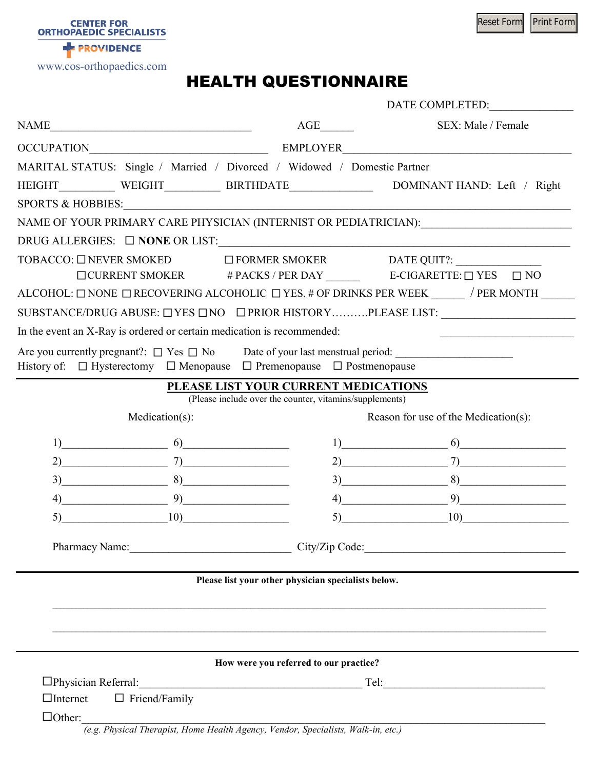Reset Form Print Form

**PROVIDENCE** 

**CENTER FOR<br>ORTHOPAEDIC SPECIALISTS** 

www.cos-orthopaedics.com

## HEALTH QUESTIONNAIRE

| SEX: Male / Female<br>$\label{eq:NAME} \text{NAME}\textcolor{gray}{\underbrace{\hspace{0.5cm}}\hspace{0.5cm}}$<br>$AGE$ <sub>_________</sub><br>MARITAL STATUS: Single / Married / Divorced / Widowed / Domestic Partner<br>HEIGHT______________WEIGHT_________________BIRTHDATE_______________________DOMINANT HAND: Left / Right<br>SPORTS & HOBBIES: CONSERVERS AND RESIDENCE AND RESIDENCE AND RESIDENCE AND RESIDENCE AND RESIDENCE AND RESIDENCE AND RESIDENCE AND RESIDENCE AND RESIDENCE AND RESIDENCE AND RESIDENCE AND RESIDENCE AND RESIDENCE AND RESIDEN<br>NAME OF YOUR PRIMARY CARE PHYSICIAN (INTERNIST OR PEDIATRICIAN):<br>DRUG ALLERGIES: □ NONE OR LIST:<br>TOBACCO: □ NEVER SMOKED □ FORMER SMOKER DATE QUIT?: ____________________________<br>ALCOHOL: $\Box$ NONE $\Box$ RECOVERING ALCOHOLIC $\Box$ YES, # OF DRINKS PER WEEK ______ / PER MONTH ______<br>SUBSTANCE/DRUG ABUSE: UYES UNO UPRIOR HISTORYPLEASE LIST:<br>In the event an X-Ray is ordered or certain medication is recommended:<br>History of: □ Hysterectomy □ Menopause □ Premenopause □ Postmenopause<br>PLEASE LIST YOUR CURRENT MEDICATIONS<br>(Please include over the counter, vitamins/supplements)<br>Reason for use of the Medication(s):<br>Medication(s):<br>$1)$ 6)<br>$1)$ 6)<br>$2)$ $7)$<br>$2)$ $7)$<br>$\begin{array}{ c c c c c }\hline 8& & \multicolumn{2}{ c }{\quad \quad \quad } \end{array}$<br>$3)$ $8)$<br>3)<br>$\left( \begin{array}{c} 4 \end{array} \right)$<br>$\left( \begin{array}{c} 4 \end{array} \right)$<br>$\boxed{10}$<br>(10)<br>5)<br>Pharmacy Name: 1988<br>City/Zip Code: 2000 Code:<br>Please list your other physician specialists below.<br>How were you referred to our practice?<br>$\boxed{\text{Tel:}\_\_\_\_\_\_}$<br>$\Box$ Internet $\Box$ Friend/Family<br>$\Box$ Other:<br>(e.g. Physical Therapist, Home Health Agency, Vendor, Specialists, Walk-in, etc.) |  |  |  | DATE COMPLETED: |
|------------------------------------------------------------------------------------------------------------------------------------------------------------------------------------------------------------------------------------------------------------------------------------------------------------------------------------------------------------------------------------------------------------------------------------------------------------------------------------------------------------------------------------------------------------------------------------------------------------------------------------------------------------------------------------------------------------------------------------------------------------------------------------------------------------------------------------------------------------------------------------------------------------------------------------------------------------------------------------------------------------------------------------------------------------------------------------------------------------------------------------------------------------------------------------------------------------------------------------------------------------------------------------------------------------------------------------------------------------------------------------------------------------------------------------------------------------------------------------------------------------------------------------------------------------------------------------------------------------------------------------------------------------------------------------------------------------------------------------------------------------------------------------------------------------------------------------------------------------------------------------------------------------|--|--|--|-----------------|
|                                                                                                                                                                                                                                                                                                                                                                                                                                                                                                                                                                                                                                                                                                                                                                                                                                                                                                                                                                                                                                                                                                                                                                                                                                                                                                                                                                                                                                                                                                                                                                                                                                                                                                                                                                                                                                                                                                            |  |  |  |                 |
|                                                                                                                                                                                                                                                                                                                                                                                                                                                                                                                                                                                                                                                                                                                                                                                                                                                                                                                                                                                                                                                                                                                                                                                                                                                                                                                                                                                                                                                                                                                                                                                                                                                                                                                                                                                                                                                                                                            |  |  |  |                 |
|                                                                                                                                                                                                                                                                                                                                                                                                                                                                                                                                                                                                                                                                                                                                                                                                                                                                                                                                                                                                                                                                                                                                                                                                                                                                                                                                                                                                                                                                                                                                                                                                                                                                                                                                                                                                                                                                                                            |  |  |  |                 |
|                                                                                                                                                                                                                                                                                                                                                                                                                                                                                                                                                                                                                                                                                                                                                                                                                                                                                                                                                                                                                                                                                                                                                                                                                                                                                                                                                                                                                                                                                                                                                                                                                                                                                                                                                                                                                                                                                                            |  |  |  |                 |
|                                                                                                                                                                                                                                                                                                                                                                                                                                                                                                                                                                                                                                                                                                                                                                                                                                                                                                                                                                                                                                                                                                                                                                                                                                                                                                                                                                                                                                                                                                                                                                                                                                                                                                                                                                                                                                                                                                            |  |  |  |                 |
|                                                                                                                                                                                                                                                                                                                                                                                                                                                                                                                                                                                                                                                                                                                                                                                                                                                                                                                                                                                                                                                                                                                                                                                                                                                                                                                                                                                                                                                                                                                                                                                                                                                                                                                                                                                                                                                                                                            |  |  |  |                 |
|                                                                                                                                                                                                                                                                                                                                                                                                                                                                                                                                                                                                                                                                                                                                                                                                                                                                                                                                                                                                                                                                                                                                                                                                                                                                                                                                                                                                                                                                                                                                                                                                                                                                                                                                                                                                                                                                                                            |  |  |  |                 |
|                                                                                                                                                                                                                                                                                                                                                                                                                                                                                                                                                                                                                                                                                                                                                                                                                                                                                                                                                                                                                                                                                                                                                                                                                                                                                                                                                                                                                                                                                                                                                                                                                                                                                                                                                                                                                                                                                                            |  |  |  |                 |
|                                                                                                                                                                                                                                                                                                                                                                                                                                                                                                                                                                                                                                                                                                                                                                                                                                                                                                                                                                                                                                                                                                                                                                                                                                                                                                                                                                                                                                                                                                                                                                                                                                                                                                                                                                                                                                                                                                            |  |  |  |                 |
|                                                                                                                                                                                                                                                                                                                                                                                                                                                                                                                                                                                                                                                                                                                                                                                                                                                                                                                                                                                                                                                                                                                                                                                                                                                                                                                                                                                                                                                                                                                                                                                                                                                                                                                                                                                                                                                                                                            |  |  |  |                 |
|                                                                                                                                                                                                                                                                                                                                                                                                                                                                                                                                                                                                                                                                                                                                                                                                                                                                                                                                                                                                                                                                                                                                                                                                                                                                                                                                                                                                                                                                                                                                                                                                                                                                                                                                                                                                                                                                                                            |  |  |  |                 |
|                                                                                                                                                                                                                                                                                                                                                                                                                                                                                                                                                                                                                                                                                                                                                                                                                                                                                                                                                                                                                                                                                                                                                                                                                                                                                                                                                                                                                                                                                                                                                                                                                                                                                                                                                                                                                                                                                                            |  |  |  |                 |
|                                                                                                                                                                                                                                                                                                                                                                                                                                                                                                                                                                                                                                                                                                                                                                                                                                                                                                                                                                                                                                                                                                                                                                                                                                                                                                                                                                                                                                                                                                                                                                                                                                                                                                                                                                                                                                                                                                            |  |  |  |                 |
|                                                                                                                                                                                                                                                                                                                                                                                                                                                                                                                                                                                                                                                                                                                                                                                                                                                                                                                                                                                                                                                                                                                                                                                                                                                                                                                                                                                                                                                                                                                                                                                                                                                                                                                                                                                                                                                                                                            |  |  |  |                 |
|                                                                                                                                                                                                                                                                                                                                                                                                                                                                                                                                                                                                                                                                                                                                                                                                                                                                                                                                                                                                                                                                                                                                                                                                                                                                                                                                                                                                                                                                                                                                                                                                                                                                                                                                                                                                                                                                                                            |  |  |  |                 |
|                                                                                                                                                                                                                                                                                                                                                                                                                                                                                                                                                                                                                                                                                                                                                                                                                                                                                                                                                                                                                                                                                                                                                                                                                                                                                                                                                                                                                                                                                                                                                                                                                                                                                                                                                                                                                                                                                                            |  |  |  |                 |
|                                                                                                                                                                                                                                                                                                                                                                                                                                                                                                                                                                                                                                                                                                                                                                                                                                                                                                                                                                                                                                                                                                                                                                                                                                                                                                                                                                                                                                                                                                                                                                                                                                                                                                                                                                                                                                                                                                            |  |  |  |                 |
|                                                                                                                                                                                                                                                                                                                                                                                                                                                                                                                                                                                                                                                                                                                                                                                                                                                                                                                                                                                                                                                                                                                                                                                                                                                                                                                                                                                                                                                                                                                                                                                                                                                                                                                                                                                                                                                                                                            |  |  |  |                 |
|                                                                                                                                                                                                                                                                                                                                                                                                                                                                                                                                                                                                                                                                                                                                                                                                                                                                                                                                                                                                                                                                                                                                                                                                                                                                                                                                                                                                                                                                                                                                                                                                                                                                                                                                                                                                                                                                                                            |  |  |  |                 |
|                                                                                                                                                                                                                                                                                                                                                                                                                                                                                                                                                                                                                                                                                                                                                                                                                                                                                                                                                                                                                                                                                                                                                                                                                                                                                                                                                                                                                                                                                                                                                                                                                                                                                                                                                                                                                                                                                                            |  |  |  |                 |
|                                                                                                                                                                                                                                                                                                                                                                                                                                                                                                                                                                                                                                                                                                                                                                                                                                                                                                                                                                                                                                                                                                                                                                                                                                                                                                                                                                                                                                                                                                                                                                                                                                                                                                                                                                                                                                                                                                            |  |  |  |                 |
|                                                                                                                                                                                                                                                                                                                                                                                                                                                                                                                                                                                                                                                                                                                                                                                                                                                                                                                                                                                                                                                                                                                                                                                                                                                                                                                                                                                                                                                                                                                                                                                                                                                                                                                                                                                                                                                                                                            |  |  |  |                 |
|                                                                                                                                                                                                                                                                                                                                                                                                                                                                                                                                                                                                                                                                                                                                                                                                                                                                                                                                                                                                                                                                                                                                                                                                                                                                                                                                                                                                                                                                                                                                                                                                                                                                                                                                                                                                                                                                                                            |  |  |  |                 |
|                                                                                                                                                                                                                                                                                                                                                                                                                                                                                                                                                                                                                                                                                                                                                                                                                                                                                                                                                                                                                                                                                                                                                                                                                                                                                                                                                                                                                                                                                                                                                                                                                                                                                                                                                                                                                                                                                                            |  |  |  |                 |
|                                                                                                                                                                                                                                                                                                                                                                                                                                                                                                                                                                                                                                                                                                                                                                                                                                                                                                                                                                                                                                                                                                                                                                                                                                                                                                                                                                                                                                                                                                                                                                                                                                                                                                                                                                                                                                                                                                            |  |  |  |                 |
|                                                                                                                                                                                                                                                                                                                                                                                                                                                                                                                                                                                                                                                                                                                                                                                                                                                                                                                                                                                                                                                                                                                                                                                                                                                                                                                                                                                                                                                                                                                                                                                                                                                                                                                                                                                                                                                                                                            |  |  |  |                 |
|                                                                                                                                                                                                                                                                                                                                                                                                                                                                                                                                                                                                                                                                                                                                                                                                                                                                                                                                                                                                                                                                                                                                                                                                                                                                                                                                                                                                                                                                                                                                                                                                                                                                                                                                                                                                                                                                                                            |  |  |  |                 |
|                                                                                                                                                                                                                                                                                                                                                                                                                                                                                                                                                                                                                                                                                                                                                                                                                                                                                                                                                                                                                                                                                                                                                                                                                                                                                                                                                                                                                                                                                                                                                                                                                                                                                                                                                                                                                                                                                                            |  |  |  |                 |
|                                                                                                                                                                                                                                                                                                                                                                                                                                                                                                                                                                                                                                                                                                                                                                                                                                                                                                                                                                                                                                                                                                                                                                                                                                                                                                                                                                                                                                                                                                                                                                                                                                                                                                                                                                                                                                                                                                            |  |  |  |                 |
|                                                                                                                                                                                                                                                                                                                                                                                                                                                                                                                                                                                                                                                                                                                                                                                                                                                                                                                                                                                                                                                                                                                                                                                                                                                                                                                                                                                                                                                                                                                                                                                                                                                                                                                                                                                                                                                                                                            |  |  |  |                 |
|                                                                                                                                                                                                                                                                                                                                                                                                                                                                                                                                                                                                                                                                                                                                                                                                                                                                                                                                                                                                                                                                                                                                                                                                                                                                                                                                                                                                                                                                                                                                                                                                                                                                                                                                                                                                                                                                                                            |  |  |  |                 |
|                                                                                                                                                                                                                                                                                                                                                                                                                                                                                                                                                                                                                                                                                                                                                                                                                                                                                                                                                                                                                                                                                                                                                                                                                                                                                                                                                                                                                                                                                                                                                                                                                                                                                                                                                                                                                                                                                                            |  |  |  |                 |